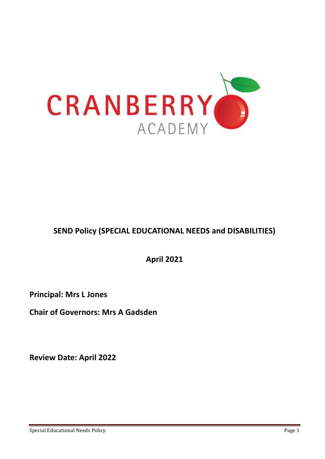

# **SEND Policy (SPECIAL EDUCATIONAL NEEDS and DISABILITIES)**

**April 2021**

**Principal: Mrs L Jones** 

**Chair of Governors: Mrs A Gadsden** 

**Review Date: April 2022**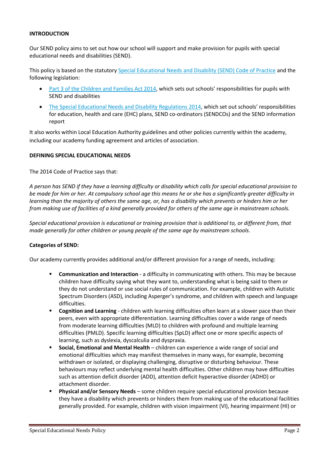#### **INTRODUCTION**

Our SEND policy aims to set out how our school will support and make provision for pupils with special educational needs and disabilities (SEND).

This policy is based on the statutor[y Special Educational Needs and Disability \(SEND\) Code of Practice](https://www.gov.uk/government/uploads/system/uploads/attachment_data/file/398815/SEND_Code_of_Practice_January_2015.pdf) and the following legislation:

- [Part 3 of the Children and Families Act 2014](http://www.legislation.gov.uk/ukpga/2014/6/part/3), which sets out schools' responsibilities for pupils with SEND and disabilities
- [The Special Educational Needs and Disability Regulations 2014](http://www.legislation.gov.uk/uksi/2014/1530/contents/made), which set out schools' responsibilities for education, health and care (EHC) plans, SEND co-ordinators (SENDCOs) and the SEND information report

It also works within Local Education Authority guidelines and other policies currently within the academy, including our academy funding agreement and articles of association.

#### **DEFINING SPECIAL EDUCATIONAL NEEDS**

The 2014 Code of Practice says that:

*A person has SEND if they have a learning difficulty or disability which calls for special educational provision to be made for him or her. At compulsory school age this means he or she has a significantly greater difficulty in learning than the majority of others the same age, or, has a disability which prevents or hinders him or her from making use of facilities of a kind generally provided for others of the same age in mainstream schools.* 

*Special educational provision is educational or training provision that is additional to, or different from, that made generally for other children or young people of the same age by mainstream schools.*

#### **Categories of SEND:**

Our academy currently provides additional and/or different provision for a range of needs, including:

- **EXEDENTIFY Communication and Interaction** a difficulty in communicating with others. This may be because children have difficulty saying what they want to, understanding what is being said to them or they do not understand or use social rules of communication. For example, children with Autistic Spectrum Disorders (ASD), including Asperger's syndrome, and children with speech and language difficulties.
- **EX Cognition and Learning** children with learning difficulties often learn at a slower pace than their peers, even with appropriate differentiation. Learning difficulties cover a wide range of needs from moderate learning difficulties (MLD) to children with profound and multiple learning difficulties (PMLD). Specific learning difficulties (SpLD) affect one or more specific aspects of learning, such as dyslexia, dyscalculia and dyspraxia.
- **Social, Emotional and Mental Health** children can experience a wide range of social and emotional difficulties which may manifest themselves in many ways, for example, becoming withdrawn or isolated, or displaying challenging, disruptive or disturbing behaviour. These behaviours may reflect underlying mental health difficulties. Other children may have difficulties such as attention deficit disorder (ADD), attention deficit hyperactive disorder (ADHD) or attachment disorder.
- **Physical and/or Sensory Needs** some children require special educational provision because they have a disability which prevents or hinders them from making use of the educational facilities generally provided. For example, children with vision impairment (VI), hearing impairment (HI) or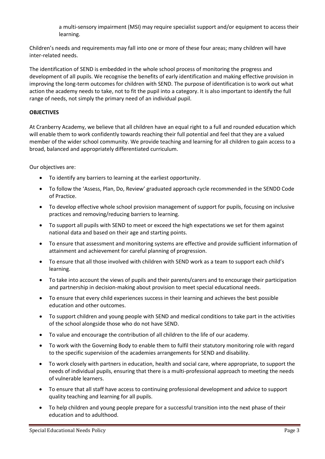a multi-sensory impairment (MSI) may require specialist support and/or equipment to access their learning.

Children's needs and requirements may fall into one or more of these four areas; many children will have inter-related needs.

The identification of SEND is embedded in the whole school process of monitoring the progress and development of all pupils. We recognise the benefits of early identification and making effective provision in improving the long-term outcomes for children with SEND. The purpose of identification is to work out what action the academy needs to take, not to fit the pupil into a category. It is also important to identify the full range of needs, not simply the primary need of an individual pupil.

## **OBJECTIVES**

At Cranberry Academy, we believe that all children have an equal right to a full and rounded education which will enable them to work confidently towards reaching their full potential and feel that they are a valued member of the wider school community. We provide teaching and learning for all children to gain access to a broad, balanced and appropriately differentiated curriculum.

Our objectives are:

- To identify any barriers to learning at the earliest opportunity.
- To follow the 'Assess, Plan, Do, Review' graduated approach cycle recommended in the SENDD Code of Practice.
- To develop effective whole school provision management of support for pupils, focusing on inclusive practices and removing/reducing barriers to learning.
- To support all pupils with SEND to meet or exceed the high expectations we set for them against national data and based on their age and starting points.
- To ensure that assessment and monitoring systems are effective and provide sufficient information of attainment and achievement for careful planning of progression.
- To ensure that all those involved with children with SEND work as a team to support each child's learning.
- To take into account the views of pupils and their parents/carers and to encourage their participation and partnership in decision-making about provision to meet special educational needs.
- To ensure that every child experiences success in their learning and achieves the best possible education and other outcomes.
- To support children and young people with SEND and medical conditions to take part in the activities of the school alongside those who do not have SEND.
- To value and encourage the contribution of all children to the life of our academy.
- To work with the Governing Body to enable them to fulfil their statutory monitoring role with regard to the specific supervision of the academies arrangements for SEND and disability.
- To work closely with partners in education, health and social care, where appropriate, to support the needs of individual pupils, ensuring that there is a multi-professional approach to meeting the needs of vulnerable learners.
- To ensure that all staff have access to continuing professional development and advice to support quality teaching and learning for all pupils.
- To help children and young people prepare for a successful transition into the next phase of their education and to adulthood.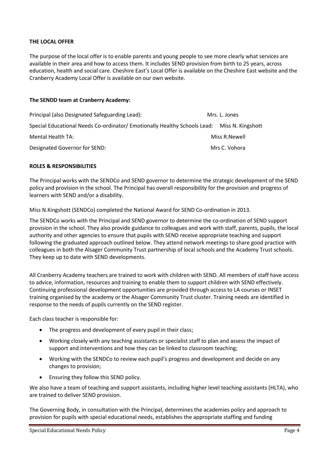## **THE LOCAL OFFER**

The purpose of the local offer is to enable parents and young people to see more clearly what services are available in their area and how to access them. It includes SEND provision from birth to 25 years, across education, health and social care. Cheshire East's Local Offer is available on the Cheshire East website and the Cranberry Academy Local Offer is available on our own website.

## **The SENDD team at Cranberry Academy:**

| Principal (also Designated Safeguarding Lead):                                              | Mrs. L. Jones |  |
|---------------------------------------------------------------------------------------------|---------------|--|
| Special Educational Needs Co-ordinator/ Emotionally Healthy Schools Lead: Miss N. Kingshott |               |  |
| Mental Health TA:                                                                           | Miss R.Newell |  |
| Designated Governor for SEND:                                                               | Mrs C. Vohora |  |

#### **ROLES & RESPONSIBILITIES**

The Principal works with the SENDCo and SEND governor to determine the strategic development of the SEND policy and provision in the school. The Principal has overall responsibility for the provision and progress of learners with SEND and/or a disability.

Miss N.Kingshott (SENDCo) completed the National Award for SEND Co-ordination in 2013.

The SENDCo works with the Principal and SEND governor to determine the co-ordination of SEND support provision in the school. They also provide guidance to colleagues and work with staff, parents, pupils, the local authority and other agencies to ensure that pupils with SEND receive appropriate teaching and support following the graduated approach outlined below. They attend network meetings to share good practice with colleagues in both the Alsager Community Trust partnership of local schools and the Academy Trust schools. They keep up to date with SEND developments.

All Cranberry Academy teachers are trained to work with children with SEND. All members of staff have access to advice, information, resources and training to enable them to support children with SEND effectively. Continuing professional development opportunities are provided through access to LA courses or INSET training organised by the academy or the Alsager Community Trust cluster. Training needs are identified in response to the needs of pupils currently on the SEND register.

Each class teacher is responsible for:

- The progress and development of every pupil in their class;
- Working closely with any teaching assistants or specialist staff to plan and assess the impact of support and interventions and how they can be linked to classroom teaching;
- Working with the SENDCo to review each pupil's progress and development and decide on any changes to provision;
- Ensuring they follow this SEND policy.

We also have a team of teaching and support assistants, including higher level teaching assistants (HLTA), who are trained to deliver SEND provision.

The Governing Body, in consultation with the Principal, determines the academies policy and approach to provision for pupils with special educational needs, establishes the appropriate staffing and funding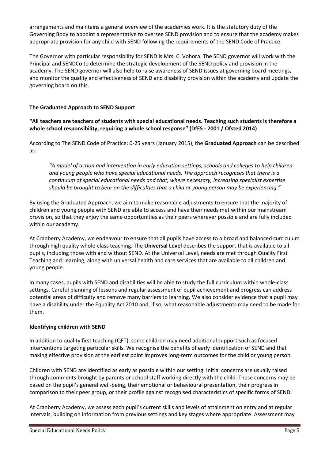arrangements and maintains a general overview of the academies work. It is the statutory duty of the Governing Body to appoint a representative to oversee SEND provision and to ensure that the academy makes appropriate provision for any child with SEND following the requirements of the SEND Code of Practice.

The Governor with particular responsibility for SEND is Mrs. C. Vohora. The SEND governor will work with the Principal and SENDCo to determine the strategic development of the SEND policy and provision in the academy. The SEND governor will also help to raise awareness of SEND issues at governing board meetings, and monitor the quality and effectiveness of SEND and disability provision within the academy and update the governing board on this.

# **The Graduated Approach to SEND Support**

**"All teachers are teachers of students with special educational needs. Teaching such students is therefore a whole school responsibility, requiring a whole school response" (DfES - 2001 / Ofsted 2014)**

According to The SEND Code of Practice: 0-25 years (January 2015), the **Graduated Approach** can be described as:

*"A model of action and intervention in early education settings, schools and colleges to help children and young people who have special educational needs. The approach recognises that there is a continuum of special educational needs and that, where necessary, increasing specialist expertise should be brought to bear on the difficulties that a child or young person may be experiencing."*

By using the Graduated Approach, we aim to make reasonable adjustments to ensure that the majority of children and young people with SEND are able to access and have their needs met within our mainstream provision, so that they enjoy the same opportunities as their peers wherever possible and are fully included within our academy.

At Cranberry Academy, we endeavour to ensure that all pupils have access to a broad and balanced curriculum through high quality whole-class teaching. The **Universal Level** describes the support that is available to all pupils, including those with and without SEND. At the Universal Level, needs are met through Quality First Teaching and Learning, along with universal health and care services that are available to all children and young people.

In many cases, pupils with SEND and disabilities will be able to study the full curriculum within whole-class settings. Careful planning of lessons and regular assessment of pupil achievement and progress can address potential areas of difficulty and remove many barriers to learning. We also consider evidence that a pupil may have a disability under the Equality Act 2010 and, if so, what reasonable adjustments may need to be made for them.

## **Identifying children with SEND**

In addition to quality first teaching (QFT), some children may need additional support such as focused interventions targeting particular skills. We recognise the benefits of early identification of SEND and that making effective provision at the earliest point improves long-term outcomes for the child or young person.

Children with SEND are identified as early as possible within our setting. Initial concerns are usually raised through comments brought by parents or school staff working directly with the child. These concerns may be based on the pupil's general well-being, their emotional or behavioural presentation, their progress in comparison to their peer group, or their profile against recognised characteristics of specific forms of SEND.

At Cranberry Academy, we assess each pupil's current skills and levels of attainment on entry and at regular intervals, building on information from previous settings and key stages where appropriate. Assessment may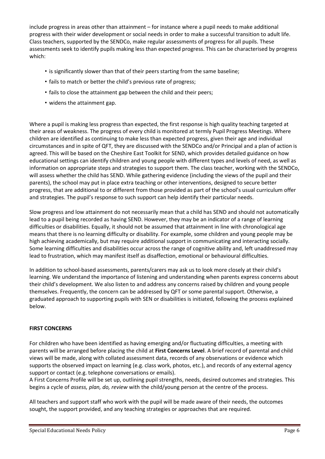include progress in areas other than attainment – for instance where a pupil needs to make additional progress with their wider development or social needs in order to make a successful transition to adult life. Class teachers, supported by the SENDCo, make regular assessments of progress for all pupils. These assessments seek to identify pupils making less than expected progress. This can be characterised by progress which:

- is significantly slower than that of their peers starting from the same baseline;
- fails to match or better the child's previous rate of progress;
- fails to close the attainment gap between the child and their peers;
- widens the attainment gap.

Where a pupil is making less progress than expected, the first response is high quality teaching targeted at their areas of weakness. The progress of every child is monitored at termly Pupil Progress Meetings. Where children are identified as continuing to make less than expected progress, given their age and individual circumstances and in spite of QFT, they are discussed with the SENDCo and/or Principal and a plan of action is agreed. This will be based on the Cheshire East Toolkit for SEND, which provides detailed guidance on how educational settings can identify children and young people with different types and levels of need, as well as information on appropriate steps and strategies to support them. The class teacher, working with the SENDCo, will assess whether the child has SEND. While gathering evidence (including the views of the pupil and their parents), the school may put in place extra teaching or other interventions, designed to secure better progress, that are additional to or different from those provided as part of the school's usual curriculum offer and strategies. The pupil's response to such support can help identify their particular needs.

Slow progress and low attainment do not necessarily mean that a child has SEND and should not automatically lead to a pupil being recorded as having SEND. However, they may be an indicator of a range of learning difficulties or disabilities. Equally, it should not be assumed that attainment in line with chronological age means that there is no learning difficulty or disability. For example, some children and young people may be high achieving academically, but may require additional support in communicating and interacting socially. Some learning difficulties and disabilities occur across the range of cognitive ability and, left unaddressed may lead to frustration, which may manifest itself as disaffection, emotional or behavioural difficulties.

In addition to school-based assessments, parents/carers may ask us to look more closely at their child's learning. We understand the importance of listening and understanding when parents express concerns about their child's development. We also listen to and address any concerns raised by children and young people themselves. Frequently, the concern can be addressed by QFT or some parental support. Otherwise, a graduated approach to supporting pupils with SEN or disabilities is initiated, following the process explained below.

# **FIRST CONCERNS**

For children who have been identified as having emerging and/or fluctuating difficulties, a meeting with parents will be arranged before placing the child at **First Concerns Level**. A brief record of parental and child views will be made, along with collated assessment data, records of any observations or evidence which supports the observed impact on learning (e.g. class work, photos, etc.), and records of any external agency support or contact (e.g. telephone conversations or emails).

A First Concerns Profile will be set up, outlining pupil strengths, needs, desired outcomes and strategies. This begins a cycle of *assess, plan, do, review* with the child/young person at the centre of the process.

All teachers and support staff who work with the pupil will be made aware of their needs, the outcomes sought, the support provided, and any teaching strategies or approaches that are required.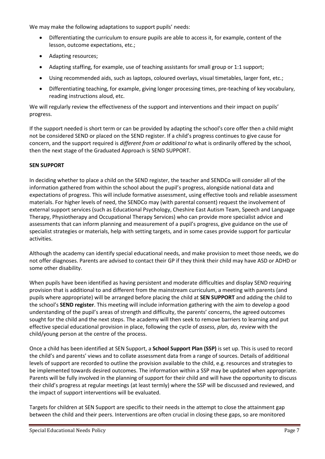We may make the following adaptations to support pupils' needs:

- Differentiating the curriculum to ensure pupils are able to access it, for example, content of the lesson, outcome expectations, etc.;
- Adapting resources;
- Adapting staffing, for example, use of teaching assistants for small group or 1:1 support;
- Using recommended aids, such as laptops, coloured overlays, visual timetables, larger font, etc.;
- Differentiating teaching, for example, giving longer processing times, pre-teaching of key vocabulary, reading instructions aloud, etc.

We will regularly review the effectiveness of the support and interventions and their impact on pupils' progress.

If the support needed is short term or can be provided by adapting the school's core offer then a child might not be considered SEND or placed on the SEND register. If a child's progress continues to give cause for concern, and the support required is *different from or additional to* what is ordinarily offered by the school, then the next stage of the Graduated Approach is SEND SUPPORT.

## **SEN SUPPORT**

In deciding whether to place a child on the SEND register, the teacher and SENDCo will consider all of the information gathered from within the school about the pupil's progress, alongside national data and expectations of progress. This will include formative assessment, using effective tools and reliable assessment materials. For higher levels of need, the SENDCo may (with parental consent) request the involvement of external support services (such as Educational Psychology, Cheshire East Autism Team, Speech and Language Therapy, Physiotherapy and Occupational Therapy Services) who can provide more specialist advice and assessments that can inform planning and measurement of a pupil's progress, give guidance on the use of specialist strategies or materials, help with setting targets, and in some cases provide support for particular activities.

Although the academy can identify special educational needs, and make provision to meet those needs, we do not offer diagnoses. Parents are advised to contact their GP if they think their child may have ASD or ADHD or some other disability.

When pupils have been identified as having persistent and moderate difficulties and display SEND requiring provision that is additional to and different from the mainstream curriculum, a meeting with parents (and pupils where appropriate) will be arranged before placing the child at **SEN SUPPORT** and adding the child to the school's **SEND register**. This meeting will include information gathering with the aim to develop a good understanding of the pupil's areas of strength and difficulty, the parents' concerns, the agreed outcomes sought for the child and the next steps. The academy will then seek to remove barriers to learning and put effective special educational provision in place, following the cycle of *assess, plan, do, review* with the child/young person at the centre of the process.

Once a child has been identified at SEN Support, a **School Support Plan (SSP)** is set up. This is used to record the child's and parents' views and to collate assessment data from a range of sources. Details of additional levels of support are recorded to outline the provision available to the child, e.g. resources and strategies to be implemented towards desired outcomes. The information within a SSP may be updated when appropriate. Parents will be fully involved in the planning of support for their child and will have the opportunity to discuss their child's progress at regular meetings (at least termly) where the SSP will be discussed and reviewed, and the impact of support interventions will be evaluated.

Targets for children at SEN Support are specific to their needs in the attempt to close the attainment gap between the child and their peers. Interventions are often crucial in closing these gaps, so are monitored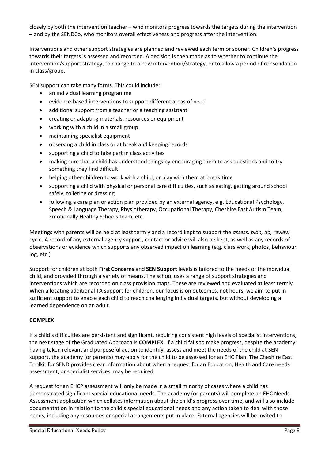closely by both the intervention teacher – who monitors progress towards the targets during the intervention – and by the SENDCo, who monitors overall effectiveness and progress after the intervention.

Interventions and other support strategies are planned and reviewed each term or sooner. Children's progress towards their targets is assessed and recorded. A decision is then made as to whether to continue the intervention/support strategy, to change to a new intervention/strategy, or to allow a period of consolidation in class/group.

SEN support can take many forms. This could include:

- an individual learning programme
- evidence-based interventions to support different areas of need
- additional support from a teacher or a teaching assistant
- creating or adapting materials, resources or equipment
- working with a child in a small group
- maintaining specialist equipment
- observing a child in class or at break and keeping records
- supporting a child to take part in class activities
- making sure that a child has understood things by encouraging them to ask questions and to try something they find difficult
- helping other children to work with a child, or play with them at break time
- supporting a child with physical or personal care difficulties, such as eating, getting around school safely, toileting or dressing
- following a care plan or action plan provided by an external agency, e.g. Educational Psychology, Speech & Language Therapy, Physiotherapy, Occupational Therapy, Cheshire East Autism Team, Emotionally Healthy Schools team, etc.

Meetings with parents will be held at least termly and a record kept to support the *assess, plan, do, review* cycle. A record of any external agency support, contact or advice will also be kept, as well as any records of observations or evidence which supports any observed impact on learning (e.g. class work, photos, behaviour log, etc.)

Support for children at both **First Concerns** and **SEN Support** levels is tailored to the needs of the individual child, and provided through a variety of means. The school uses a range of support strategies and interventions which are recorded on class provision maps. These are reviewed and evaluated at least termly. When allocating additional TA support for children, our focus is on outcomes, not hours: we aim to put in sufficient support to enable each child to reach challenging individual targets, but without developing a learned dependence on an adult.

## **COMPLEX**

If a child's difficulties are persistent and significant, requiring consistent high levels of specialist interventions, the next stage of the Graduated Approach is **COMPLEX.** If a child fails to make progress, despite the academy having taken relevant and purposeful action to identify, assess and meet the needs of the child at SEN support, the academy (or parents) may apply for the child to be assessed for an EHC Plan. The Cheshire East Toolkit for SEND provides clear information about when a request for an Education, Health and Care needs assessment, or specialist services, may be required.

A request for an EHCP assessment will only be made in a small minority of cases where a child has demonstrated significant special educational needs. The academy (or parents) will complete an EHC Needs Assessment application which collates information about the child's progress over time, and will also include documentation in relation to the child's special educational needs and any action taken to deal with those needs, including any resources or special arrangements put in place. External agencies will be invited to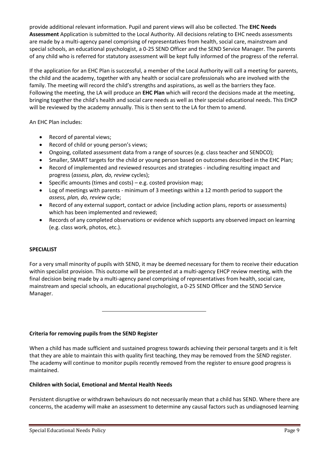provide additional relevant information. Pupil and parent views will also be collected. The **EHC Needs Assessment** Application is submitted to the Local Authority. All decisions relating to EHC needs assessments are made by a multi-agency panel comprising of representatives from health, social care, mainstream and special schools, an educational psychologist, a 0-25 SEND Officer and the SEND Service Manager. The parents of any child who is referred for statutory assessment will be kept fully informed of the progress of the referral.

If the application for an EHC Plan is successful, a member of the Local Authority will call a meeting for parents, the child and the academy, together with any health or social care professionals who are involved with the family. The meeting will record the child's strengths and aspirations, as well as the barriers they face. Following the meeting, the LA will produce an **EHC Plan** which will record the decisions made at the meeting, bringing together the child's health and social care needs as well as their special educational needs. This EHCP will be reviewed by the academy annually. This is then sent to the LA for them to amend.

An EHC Plan includes:

- Record of parental views;
- Record of child or young person's views;
- Ongoing, collated assessment data from a range of sources (e.g. class teacher and SENDCO);
- Smaller, SMART targets for the child or young person based on outcomes described in the EHC Plan;
- Record of implemented and reviewed resources and strategies including resulting impact and progress (*assess, plan, do, review* cycles);
- Specific amounts (times and costs) e.g. costed provision map;
- Log of meetings with parents minimum of 3 meetings within a 12 month period to support the *assess, plan, do, review* cycle;
- Record of any external support, contact or advice (including action plans, reports or assessments) which has been implemented and reviewed;
- Records of any completed observations or evidence which supports any observed impact on learning (e.g. class work, photos, etc.).

## **SPECIALIST**

For a very small minority of pupils with SEND, it may be deemed necessary for them to receive their education within specialist provision. This outcome will be presented at a multi-agency EHCP review meeting, with the final decision being made by a multi-agency panel comprising of representatives from health, social care, mainstream and special schools, an educational psychologist, a 0-25 SEND Officer and the SEND Service Manager.

**Criteria for removing pupils from the SEND Register** 

When a child has made sufficient and sustained progress towards achieving their personal targets and it is felt that they are able to maintain this with quality first teaching, they may be removed from the SEND register. The academy will continue to monitor pupils recently removed from the register to ensure good progress is maintained.

#### **Children with Social, Emotional and Mental Health Needs**

Persistent disruptive or withdrawn behaviours do not necessarily mean that a child has SEND. Where there are concerns, the academy will make an assessment to determine any causal factors such as undiagnosed learning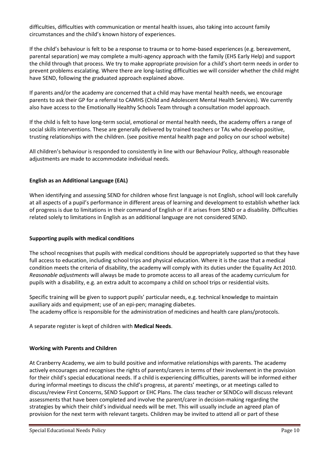difficulties, difficulties with communication or mental health issues, also taking into account family circumstances and the child's known history of experiences.

If the child's behaviour is felt to be a response to trauma or to home-based experiences (e.g. bereavement, parental separation) we may complete a multi-agency approach with the family (EHS Early Help) and support the child through that process. We try to make appropriate provision for a child's short-term needs in order to prevent problems escalating. Where there are long-lasting difficulties we will consider whether the child might have SEND, following the graduated approach explained above.

If parents and/or the academy are concerned that a child may have mental health needs, we encourage parents to ask their GP for a referral to CAMHS (Child and Adolescent Mental Health Services). We currently also have access to the Emotionally Healthy Schools Team through a consultation model approach.

If the child is felt to have long-term social, emotional or mental health needs, the academy offers a range of social skills interventions. These are generally delivered by trained teachers or TAs who develop positive, trusting relationships with the children. (see positive mental health page and policy on our school website)

All children's behaviour is responded to consistently in line with our Behaviour Policy, although reasonable adjustments are made to accommodate individual needs.

## **English as an Additional Language (EAL)**

When identifying and assessing SEND for children whose first language is not English, school will look carefully at all aspects of a pupil's performance in different areas of learning and development to establish whether lack of progress is due to limitations in their command of English or if it arises from SEND or a disability. Difficulties related solely to limitations in English as an additional language are not considered SEND.

#### **Supporting pupils with medical conditions**

The school recognises that pupils with medical conditions should be appropriately supported so that they have full access to education, including school trips and physical education. Where it is the case that a medical condition meets the criteria of disability, the academy will comply with its duties under the Equality Act 2010. *Reasonable adjustments* will always be made to promote access to all areas of the academy curriculum for pupils with a disability, e.g. an extra adult to accompany a child on school trips or residential visits.

Specific training will be given to support pupils' particular needs, e.g. technical knowledge to maintain auxiliary aids and equipment; use of an epi-pen; managing diabetes. The academy office is responsible for the administration of medicines and health care plans/protocols.

A separate register is kept of children with **Medical Needs**.

#### **Working with Parents and Children**

At Cranberry Academy, we aim to build positive and informative relationships with parents. The academy actively encourages and recognises the rights of parents/carers in terms of their involvement in the provision for their child's special educational needs. If a child is experiencing difficulties, parents will be informed either during informal meetings to discuss the child's progress, at parents' meetings, or at meetings called to discuss/review First Concerns, SEND Support or EHC Plans. The class teacher or SENDCo will discuss relevant assessments that have been completed and involve the parent/carer in decision-making regarding the strategies by which their child's individual needs will be met. This will usually include an agreed plan of provision for the next term with relevant targets. Children may be invited to attend all or part of these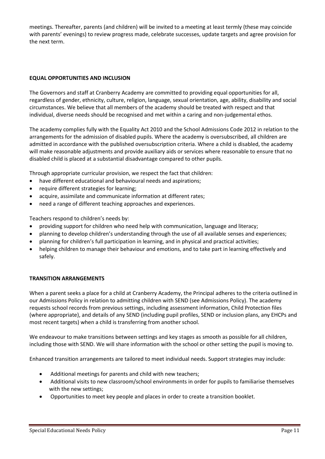meetings. Thereafter, parents (and children) will be invited to a meeting at least termly (these may coincide with parents' evenings) to review progress made, celebrate successes, update targets and agree provision for the next term.

# **EQUAL OPPORTUNITIES AND INCLUSION**

The Governors and staff at Cranberry Academy are committed to providing equal opportunities for all, regardless of gender, ethnicity, culture, religion, language, sexual orientation, age, ability, disability and social circumstances. We believe that all members of the academy should be treated with respect and that individual, diverse needs should be recognised and met within a caring and non-judgemental ethos.

The academy complies fully with the Equality Act 2010 and the School Admissions Code 2012 in relation to the arrangements for the admission of disabled pupils. Where the academy is oversubscribed, all children are admitted in accordance with the published oversubscription criteria. Where a child is disabled, the academy will make reasonable adjustments and provide auxiliary aids or services where reasonable to ensure that no disabled child is placed at a substantial disadvantage compared to other pupils.

Through appropriate curricular provision, we respect the fact that children:

- have different educational and behavioural needs and aspirations;
- require different strategies for learning;
- acquire, assimilate and communicate information at different rates;
- need a range of different teaching approaches and experiences.

Teachers respond to children's needs by:

- providing support for children who need help with communication, language and literacy;
- planning to develop children's understanding through the use of all available senses and experiences;
- planning for children's full participation in learning, and in physical and practical activities;
- helping children to manage their behaviour and emotions, and to take part in learning effectively and safely.

## **TRANSITION ARRANGEMENTS**

When a parent seeks a place for a child at Cranberry Academy, the Principal adheres to the criteria outlined in our Admissions Policy in relation to admitting children with SEND (see Admissions Policy). The academy requests school records from previous settings, including assessment information, Child Protection files (where appropriate), and details of any SEND (including pupil profiles, SEND or inclusion plans, any EHCPs and most recent targets) when a child is transferring from another school.

We endeavour to make transitions between settings and key stages as smooth as possible for all children, including those with SEND. We will share information with the school or other setting the pupil is moving to.

Enhanced transition arrangements are tailored to meet individual needs. Support strategies may include:

- Additional meetings for parents and child with new teachers;
- Additional visits to new classroom/school environments in order for pupils to familiarise themselves with the new settings;
- Opportunities to meet key people and places in order to create a transition booklet.